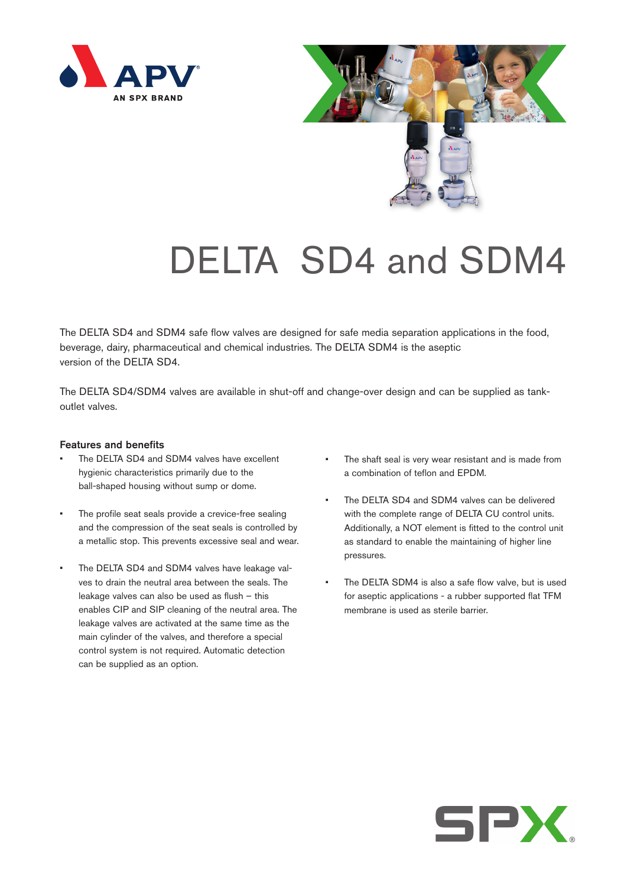



## DELTA SD4 and SDM4

The DELTA SD4 and SDM4 safe flow valves are designed for safe media separation applications in the food, beverage, dairy, pharmaceutical and chemical industries. The DELTA SDM4 is the aseptic version of the DELTA SD4.

The DELTA SD4/SDM4 valves are available in shut-off and change-over design and can be supplied as tankoutlet valves.

## Features and benefits

- The DELTA SD4 and SDM4 valves have excellent hygienic characteristics primarily due to the ball-shaped housing without sump or dome.
- The profile seat seals provide a crevice-free sealing and the compression of the seat seals is controlled by a metallic stop. This prevents excessive seal and wear.
- The DELTA SD4 and SDM4 valves have leakage valves to drain the neutral area between the seals. The leakage valves can also be used as flush – this enables CIP and SIP cleaning of the neutral area. The leakage valves are activated at the same time as the main cylinder of the valves, and therefore a special control system is not required. Automatic detection can be supplied as an option.
- The shaft seal is very wear resistant and is made from a combination of teflon and EPDM.
- The DELTA SD4 and SDM4 valves can be delivered with the complete range of DELTA CU control units. Additionally, a NOT element is fitted to the control unit as standard to enable the maintaining of higher line pressures.
- The DELTA SDM4 is also a safe flow valve, but is used for aseptic applications - a rubber supported flat TFM membrane is used as sterile barrier.